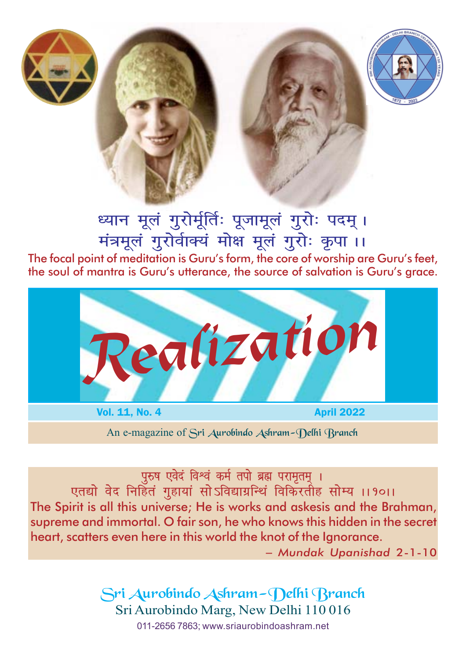





ध्यान मूलं गुरोर्मूर्तिः पूजामूलं गुरोः पदम् । मंत्रमूलं गुरोर्वाक्यं मोक्ष मूलं गुरोः कृपा ।।

The focal point of meditation is Guru's form, the core of worship are Guru's feet, the soul of mantra is Guru's utterance, the source of salvation is Guru's grace.



An e-magazine of Sri Aurobindo Ashram-Delhi Branch

पुरुष एवेदं विश्वं कर्म तपो ब्रह्म परामृतम् । एतद्यो वेद निहितं गुहायां सोऽविद्याग्रन्थिं विकिरतीह सोम्य ।।१०।। The Spirit is all this universe; He is works and askesis and the Brahman, supreme and immortal. O fair son, he who knows this hidden in the secret heart, scatters even here in this world the knot of the Ignorance.

– *Mundak Upanishad* 2-1-10

Sri Aurobindo Ashram-Delhi Branch Sri Aurobindo Marg, New Delhi 110 016

011-2656 7863; www.sriaurobindoashram.net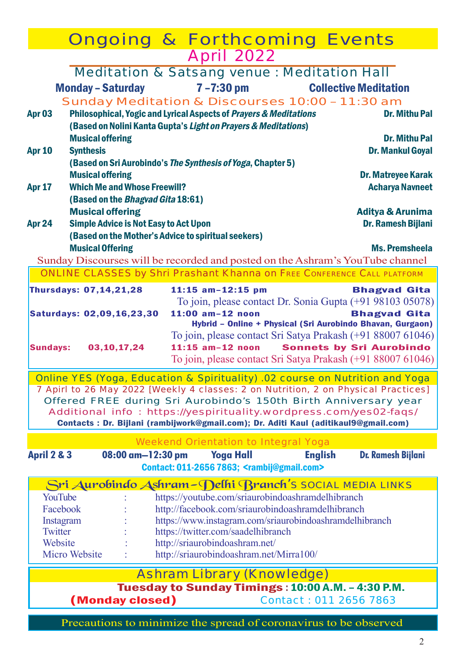|                                                                                           | <b>Ongoing &amp; Forthcoming Events</b>                                                                                               |                                                 |
|-------------------------------------------------------------------------------------------|---------------------------------------------------------------------------------------------------------------------------------------|-------------------------------------------------|
|                                                                                           | <b>April 2022</b>                                                                                                                     |                                                 |
|                                                                                           | Meditation & Satsang venue: Meditation Hall                                                                                           |                                                 |
| <b>Monday - Saturday</b>                                                                  | $7 - 7:30$ pm                                                                                                                         | <b>Collective Meditation</b>                    |
| <b>Apr 03</b>                                                                             | Sunday Meditation & Discourses 10:00 - 11:30 am<br>Philosophical, Yogic and Lyrical Aspects of Prayers & Meditations                  | <b>Dr. Mithu Pal</b>                            |
|                                                                                           | (Based on Nolini Kanta Gupta's Light on Prayers & Meditations)                                                                        |                                                 |
| <b>Musical offering</b><br><b>Synthesis</b><br><b>Apr 10</b>                              |                                                                                                                                       | <b>Dr. Mithu Pal</b><br><b>Dr. Mankul Goyal</b> |
|                                                                                           | (Based on Sri Aurobindo's The Synthesis of Yoga, Chapter 5)                                                                           |                                                 |
| <b>Musical offering</b>                                                                   |                                                                                                                                       | <b>Dr. Matreyee Karak</b>                       |
| <b>Which Me and Whose Freewill?</b><br><b>Apr 17</b><br>(Based on the Bhagvad Gita 18:61) |                                                                                                                                       | <b>Acharya Navneet</b>                          |
| <b>Musical offering</b>                                                                   |                                                                                                                                       | <b>Aditya &amp; Arunima</b>                     |
| Apr 24<br><b>Simple Advice is Not Easy to Act Upon</b>                                    |                                                                                                                                       | <b>Dr. Ramesh Bijlani</b>                       |
| <b>Musical Offering</b>                                                                   | (Based on the Mother's Advice to spiritual seekers)                                                                                   | <b>Ms. Premsheela</b>                           |
|                                                                                           | Sunday Discourses will be recorded and posted on the Ashram's YouTube channel                                                         |                                                 |
|                                                                                           | <b>ONLINE CLASSES by Shri Prashant Khanna on FREE CONFERENCE CALL PLATFORM</b>                                                        |                                                 |
| <b>Thursdays: 07,14,21,28</b>                                                             | $11:15$ am-12:15 pm                                                                                                                   | <b>Bhagvad Gita</b>                             |
| Saturdays: 02,09,16,23,30                                                                 | To join, please contact Dr. Sonia Gupta (+91 98103 05078)<br>11:00 am-12 noon                                                         | <b>Bhagvad Gita</b>                             |
|                                                                                           | Hybrid - Online + Physical (Sri Aurobindo Bhavan, Gurgaon)                                                                            |                                                 |
| 03, 10, 17, 24<br><b>Sundays:</b>                                                         | To join, please contact Sri Satya Prakash (+91 88007 61046)<br>11:15 am-12 noon Sonnets by Sri Aurobindo                              |                                                 |
|                                                                                           | To join, please contact Sri Satya Prakash (+91 88007 61046)                                                                           |                                                 |
|                                                                                           | Online YES (Yoga, Education & Spirituality) .02 course on Nutrition and Yoga                                                          |                                                 |
|                                                                                           | 7 Apirl to 26 May 2022 [Weekly 4 classes: 2 on Nutrition, 2 on Physical Practices]                                                    |                                                 |
|                                                                                           | Offered FREE during Sri Aurobindo's 150th Birth Anniversary year<br>Additional info: https://yespirituality.wordpress.com/yes02-faqs/ |                                                 |
|                                                                                           | Contacts: Dr. Bijlani (rambijwork@gmail.com); Dr. Aditi Kaul (aditikaul9@gmail.com)                                                   |                                                 |
|                                                                                           | Weekend Orientation to Integral Yoga                                                                                                  |                                                 |
| <b>April 2 &amp; 3</b><br>08:00 am-12:30 pm                                               | <b>Yoga Hall</b>                                                                                                                      | Dr. Ramesh Bijlani<br><b>English</b>            |
|                                                                                           | Contact: 011-2656 7863; <rambij@gmail.com></rambij@gmail.com>                                                                         |                                                 |
| YouTube                                                                                   | Sri Aurobindo Ashram-Delhi Branch's SOCIAL MEDIA LINKS<br>https://youtube.com/sriaurobindoashramdelhibranch                           |                                                 |
| Facebook                                                                                  | http://facebook.com/sriaurobindoashramdelhibranch                                                                                     |                                                 |
| Instagram<br>Twitter                                                                      | https://www.instagram.com/sriaurobindoashramdelhibranch                                                                               |                                                 |
| Website                                                                                   | https://twitter.com/saadelhibranch<br>http://sriaurobindoashram.net/                                                                  |                                                 |
| Micro Website                                                                             | http://sriaurobindoashram.net/Mirra100/                                                                                               |                                                 |
|                                                                                           | Ashram Library (Knowledge)                                                                                                            |                                                 |
|                                                                                           | Tuesday to Sunday Timings: 10:00 A.M. - 4:30 P.M.                                                                                     |                                                 |
| (Monday closed)                                                                           |                                                                                                                                       | Contact: 011 2656 7863                          |
|                                                                                           | Precautions to minimize the spread of coronavirus to be observed                                                                      |                                                 |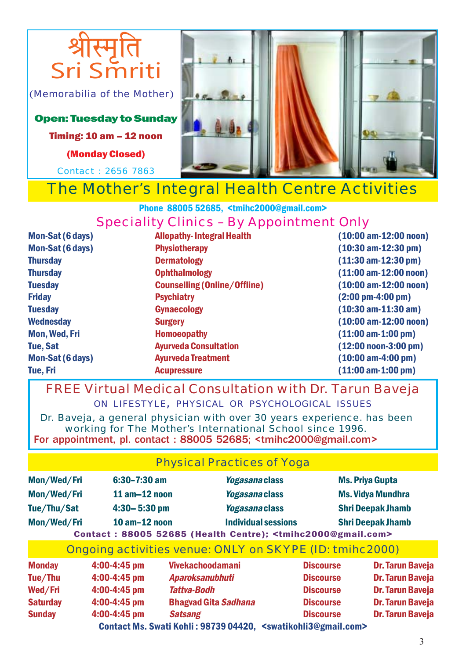# Sri Smriti श्रीस्मृति

(Memorabilia of the Mother)

Open: Tuesday to Sunday

Timing: 10 am – 12 noon

(Monday Closed)

*Contact :* 2656 7863



### The Mother's Integral Health Centre Activities

### Speciality Clinics – By Appointment Only Phone 88005 52685, <tmihc2000@gmail.com>

| Mon-Sat (6 days)     | <b>Allopathy-Integral Health</b>    | (10:00 am-12:00 noon)                  |
|----------------------|-------------------------------------|----------------------------------------|
| Mon-Sat (6 days)     | <b>Physiotherapy</b>                | $(10:30$ am-12:30 pm)                  |
| <b>Thursday</b>      | <b>Dermatology</b>                  | $(11:30$ am-12:30 pm)                  |
| <b>Thursday</b>      | <b>Ophthalmology</b>                | $(11:00 am-12:00 noon)$                |
| <b>Tuesday</b>       | <b>Counselling (Online/Offline)</b> | $(10:00 am-12:00 noon)$                |
| <b>Friday</b>        | <b>Psychiatry</b>                   | $(2:00 \text{ pm-}4:00 \text{ pm})$    |
| <b>Tuesday</b>       | <b>Gynaecology</b>                  | $(10:30$ am-11:30 am)                  |
| <b>Wednesday</b>     | <b>Surgery</b>                      | $(10:00$ am-12:00 noon)                |
| <b>Mon, Wed, Fri</b> | <b>Homoeopathy</b>                  | $(11:00$ am-1:00 pm)                   |
| Tue, Sat             | <b>Ayurveda Consultation</b>        | $(12:00 \text{ noon-}3:00 \text{ pm})$ |
| Mon-Sat (6 days)     | <b>Ayurveda Treatment</b>           | $(10:00 am-4:00 pm)$                   |
| Tue, Fri             | <b>Acupressure</b>                  | $(11:00 am-1:00 pm)$                   |

### FREE Virtual Medical Consultation with Dr. Tarun Baveja ON LIFESTYLE, PHYSICAL OR PSYCHOLOGICAL ISSUES

Dr. Baveja, a general physician with over 30 years experience. has been working for The Mother's International School since 1996. For appointment, pl. contact : 88005 52685; <tmihc2000@gmail.com>

| <b>Physical Practices of Yoga</b>                                                                                                                                                                                                                                                                                                                                                                                                                                  |                                                                                  |                                                                                                                          |                                                                                                  |                                                                                                                                     |  |  |  |
|--------------------------------------------------------------------------------------------------------------------------------------------------------------------------------------------------------------------------------------------------------------------------------------------------------------------------------------------------------------------------------------------------------------------------------------------------------------------|----------------------------------------------------------------------------------|--------------------------------------------------------------------------------------------------------------------------|--------------------------------------------------------------------------------------------------|-------------------------------------------------------------------------------------------------------------------------------------|--|--|--|
| Mon/Wed/Fri<br>$6:30 - 7:30$ am<br><b>Ms. Priya Gupta</b><br><i><b>Yogasana class</b></i><br>Mon/Wed/Fri<br><b>Ms. Vidya Mundhra</b><br>11 am-12 noon<br><i><b>Yogasana class</b></i><br>$4:30 - 5:30$ pm<br><b>Shri Deepak Jhamb</b><br>Tue/Thu/Sat<br><i><b>Yogasanaclass</b></i><br>Mon/Wed/Fri<br><b>Individual sessions</b><br><b>Shri Deepak Jhamb</b><br>10 am-12 noon<br>Contact: 88005 52685 (Health Centre); <tmihc2000@gmail.com></tmihc2000@gmail.com> |                                                                                  |                                                                                                                          |                                                                                                  |                                                                                                                                     |  |  |  |
| Ongoing activities venue: ONLY on SKYPE (ID: tmihc2000)                                                                                                                                                                                                                                                                                                                                                                                                            |                                                                                  |                                                                                                                          |                                                                                                  |                                                                                                                                     |  |  |  |
| <b>Monday</b><br>Tue/Thu<br>Wed/Fri<br><b>Saturday</b><br><b>Sunday</b>                                                                                                                                                                                                                                                                                                                                                                                            | 4:00-4:45 pm<br>4:00-4:45 pm<br>4:00-4:45 pm<br>4:00-4:45 pm<br>$4:00 - 4:45$ pm | <b>Vivekachoodamani</b><br><b>Aparoksanubhuti</b><br><b>Tattva-Bodh</b><br><b>Bhagvad Gita Sadhana</b><br><b>Satsang</b> | <b>Discourse</b><br><b>Discourse</b><br><b>Discourse</b><br><b>Discourse</b><br><b>Discourse</b> | <b>Dr. Tarun Baveja</b><br><b>Dr. Tarun Baveja</b><br><b>Dr. Tarun Baveja</b><br><b>Dr. Tarun Baveja</b><br><b>Dr. Tarun Baveja</b> |  |  |  |
|                                                                                                                                                                                                                                                                                                                                                                                                                                                                    |                                                                                  | Contact Ms. Swati Kohli: 98739 04420, <swatikohli3@gmail.com></swatikohli3@gmail.com>                                    |                                                                                                  |                                                                                                                                     |  |  |  |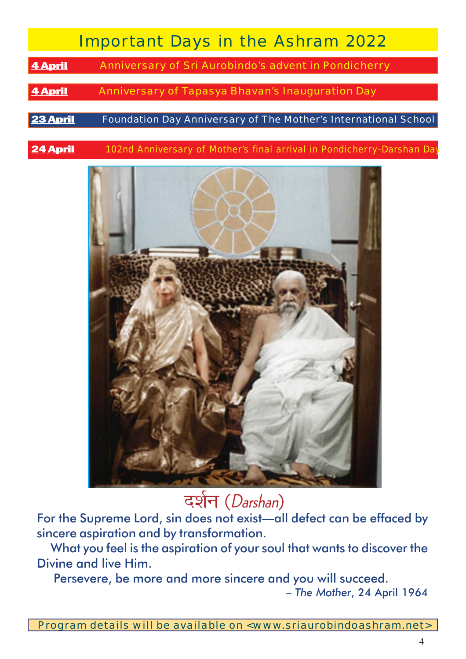## Important Days in the Ashram 2022

**4 April** Anniversary of Sri Aurobindo's advent in Pondicherry

**4 April** Anniversary of *Tapasya* Bhavan's Inauguration Day

**23 April** Foundation Day Anniversary of The Mother's International School

**24 April** 102nd Anniversary of Mother's final arrival in Pondicherry-**Darshan** Day



दर्शन (Darshan)

For the Supreme Lord, sin does not exist—all defect can be effaced by sincere aspiration and by transformation.

 What you feel is the aspiration of your soul that wants to discover the Divine and live Him.

Persevere, be more and more sincere and you will succeed.

– *The Mother*, 24 April 1964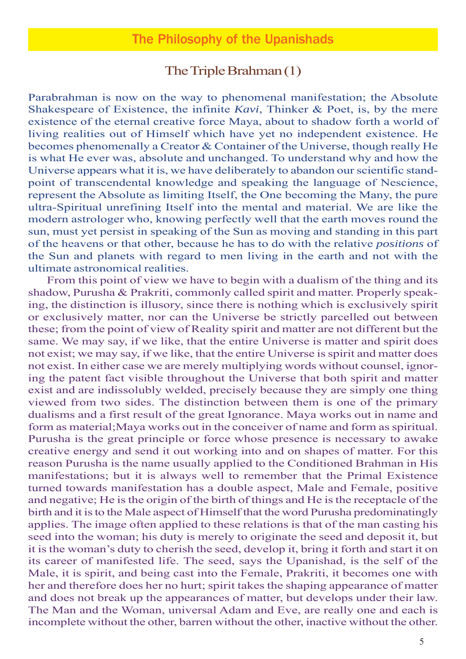#### The Triple Brahman (1)

Parabrahman is now on the way to phenomenal manifestation; the Absolute Shakespeare of Existence, the infinite *Kavi*, Thinker & Poet, is, by the mere existence of the eternal creative force Maya, about to shadow forth a world of living realities out of Himself which have yet no independent existence. He becomes phenomenally a Creator & Container of the Universe, though really He is what He ever was, absolute and unchanged. To understand why and how the Universe appears what it is, we have deliberately to abandon our scientific standpoint of transcendental knowledge and speaking the language of Nescience, represent the Absolute as limiting Itself, the One becoming the Many, the pure ultra-Spiritual unrefining Itself into the mental and material. We are like the modern astrologer who, knowing perfectly well that the earth moves round the sun, must yet persist in speaking of the Sun as moving and standing in this part of the heavens or that other, because he has to do with the relative *positions* of the Sun and planets with regard to men living in the earth and not with the ultimate astronomical realities.

From this point of view we have to begin with a dualism of the thing and its shadow, Purusha & Prakriti, commonly called spirit and matter. Properly speaking, the distinction is illusory, since there is nothing which is exclusively spirit or exclusively matter, nor can the Universe be strictly parcelled out between these; from the point of view of Reality spirit and matter are not different but the same. We may say, if we like, that the entire Universe is matter and spirit does not exist; we may say, if we like, that the entire Universe is spirit and matter does not exist. In either case we are merely multiplying words without counsel, ignoring the patent fact visible throughout the Universe that both spirit and matter exist and are indissolubly welded, precisely because they are simply one thing viewed from two sides. The distinction between them is one of the primary dualisms and a first result of the great Ignorance. Maya works out in name and form as material;Maya works out in the conceiver of name and form as spiritual. Purusha is the great principle or force whose presence is necessary to awake creative energy and send it out working into and on shapes of matter. For this reason Purusha is the name usually applied to the Conditioned Brahman in His manifestations; but it is always well to remember that the Primal Existence turned towards manifestation has a double aspect, Male and Female, positive and negative; He is the origin of the birth of things and He is the receptacle of the birth and it is to the Male aspect of Himself that the word Purusha predominatingly applies. The image often applied to these relations is that of the man casting his seed into the woman; his duty is merely to originate the seed and deposit it, but it is the woman's duty to cherish the seed, develop it, bring it forth and start it on its career of manifested life. The seed, says the Upanishad, is the self of the Male, it is spirit, and being cast into the Female, Prakriti, it becomes one with her and therefore does her no hurt; spirit takes the shaping appearance of matter and does not break up the appearances of matter, but develops under their law. The Man and the Woman, universal Adam and Eve, are really one and each is incomplete without the other, barren without the other, inactive without the other.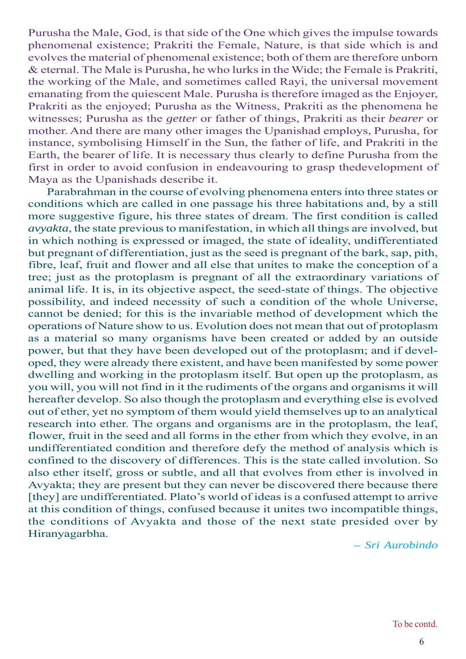Purusha the Male, God, is that side of the One which gives the impulse towards phenomenal existence; Prakriti the Female, Nature, is that side which is and evolves the material of phenomenal existence; both of them are therefore unborn & eternal. The Male is Purusha, he who lurks in the Wide; the Female is Prakriti, the working of the Male, and sometimes called Rayi, the universal movement emanating from the quiescent Male. Purusha is therefore imaged as the Enjoyer, Prakriti as the enjoyed; Purusha as the Witness, Prakriti as the phenomena he witnesses; Purusha as the *getter* or father of things, Prakriti as their *bearer* or mother. And there are many other images the Upanishad employs, Purusha, for instance, symbolising Himself in the Sun, the father of life, and Prakriti in the Earth, the bearer of life. It is necessary thus clearly to define Purusha from the first in order to avoid confusion in endeavouring to grasp thedevelopment of Maya as the Upanishads describe it.

Parabrahman in the course of evolving phenomena enters into three states or conditions which are called in one passage his three habitations and, by a still more suggestive figure, his three states of dream. The first condition is called *avyakta*, the state previous to manifestation, in which all things are involved, but in which nothing is expressed or imaged, the state of ideality, undifferentiated but pregnant of differentiation, just as the seed is pregnant of the bark, sap, pith, fibre, leaf, fruit and flower and all else that unites to make the conception of a tree; just as the protoplasm is pregnant of all the extraordinary variations of animal life. It is, in its objective aspect, the seed-state of things. The objective possibility, and indeed necessity of such a condition of the whole Universe, cannot be denied; for this is the invariable method of development which the operations of Nature show to us. Evolution does not mean that out of protoplasm as a material so many organisms have been created or added by an outside power, but that they have been developed out of the protoplasm; and if developed, they were already there existent, and have been manifested by some power dwelling and working in the protoplasm itself. But open up the protoplasm, as you will, you will not find in it the rudiments of the organs and organisms it will hereafter develop. So also though the protoplasm and everything else is evolved out of ether, yet no symptom of them would yield themselves up to an analytical research into ether. The organs and organisms are in the protoplasm, the leaf, flower, fruit in the seed and all forms in the ether from which they evolve, in an undifferentiated condition and therefore defy the method of analysis which is confined to the discovery of differences. This is the state called involution. So also ether itself, gross or subtle, and all that evolves from ether is involved in Avyakta; they are present but they can never be discovered there because there [they] are undifferentiated. Plato's world of ideas is a confused attempt to arrive at this condition of things, confused because it unites two incompatible things, the conditions of Avyakta and those of the next state presided over by Hiranyagarbha.

*– Sri Aurobindo*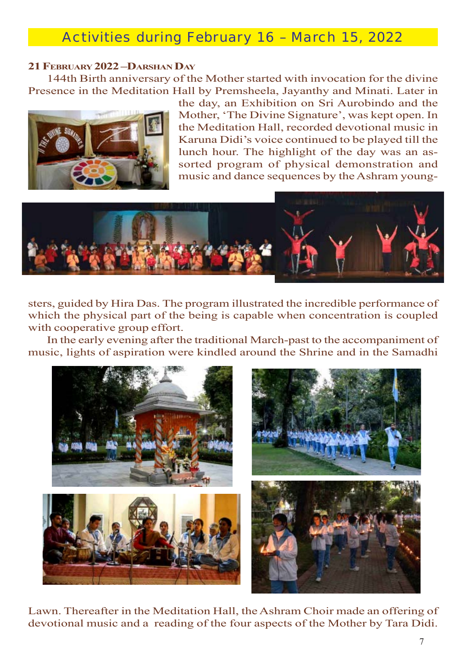### Activities during February 16 – March 15, 2022

#### **21 FEBRUARY 2022 –DARSHAN DAY**

144th Birth anniversary of the Mother started with invocation for the divine Presence in the Meditation Hall by Premsheela, Jayanthy and Minati. Later in



the day, an Exhibition on Sri Aurobindo and the Mother, 'The Divine Signature', was kept open. In the Meditation Hall, recorded devotional music in Karuna Didi's voice continued to be played till the lunch hour. The highlight of the day was an assorted program of physical demonstration and music and dance sequences by the Ashram young-



sters, guided by Hira Das. The program illustrated the incredible performance of which the physical part of the being is capable when concentration is coupled with cooperative group effort.

In the early evening after the traditional March-past to the accompaniment of music, lights of aspiration were kindled around the Shrine and in the Samadhi



Lawn. Thereafter in the Meditation Hall, the Ashram Choir made an offering of devotional music and a reading of the four aspects of the Mother by Tara Didi.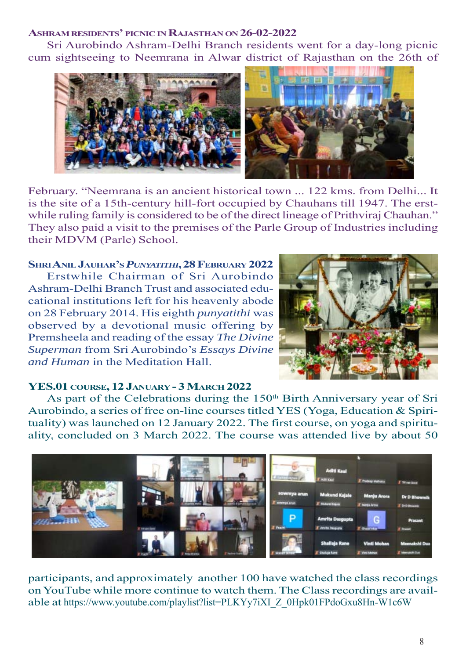#### **ASHRAMRESIDENTS' PICNIC IN RAJASTHAN ON 26-02-2022**

Sri Aurobindo Ashram-Delhi Branch residents went for a day-long picnic cum sightseeing to Neemrana in Alwar district of Rajasthan on the 26th of



February. "Neemrana is an ancient historical town ... 122 kms. from Delhi... It is the site of a 15th-century hill-fort occupied by Chauhans till 1947. The erstwhile ruling family is considered to be of the direct lineage of Prithviraj Chauhan." They also paid a visit to the premises of the Parle Group of Industries including their MDVM (Parle) School.

#### **SHRI ANIL JAUHAR'S***PUNYATITHI***, 28 FEBRUARY 2022**

Erstwhile Chairman of Sri Aurobindo Ashram-Delhi Branch Trust and associated educational institutions left for his heavenly abode on 28 February 2014. His eighth *punyatithi* was observed by a devotional music offering by Premsheela and reading of the essay *The Divine Superman* from Sri Aurobindo's *Essays Divine and Human* in the Meditation Hall.



#### **YES.01 COURSE, 12 JANUARY - 3 MARCH 2022**

As part of the Celebrations during the  $150<sup>th</sup>$  Birth Anniversary year of Sri Aurobindo, a series of free on-line courses titled YES (Yoga, Education & Spirituality) was launched on 12 January 2022. The first course, on yoga and spirituality, concluded on 3 March 2022. The course was attended live by about 50



participants, and approximately another 100 have watched the class recordings on YouTube while more continue to watch them. The Class recordings are available at https://www.youtube.com/playlist?list=PLKYy7iXI\_Z\_0Hpk01FPdoGxu8Hn-W1c6W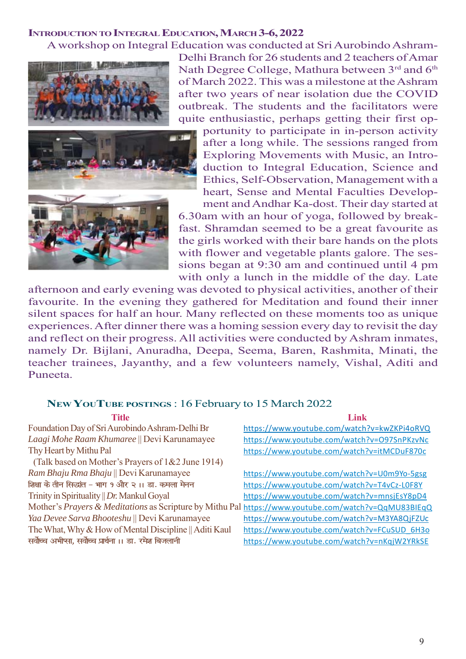### **INTRODUCTION TO INTEGRAL EDUCATION, MARCH 3-6, 2022**

A workshop on Integral Education was conducted at Sri Aurobindo Ashram-



Delhi Branch for 26 students and 2 teachers of Amar Nath Degree College, Mathura between 3rd and 6<sup>th</sup> of March 2022. This was a milestone at the Ashram after two years of near isolation due the COVID outbreak. The students and the facilitators were quite enthusiastic, perhaps getting their first op-



portunity to participate in in-person activity after a long while. The sessions ranged from Exploring Movements with Music, an Introduction to Integral Education, Science and Ethics, Self-Observation, Management with a heart, Sense and Mental Faculties Development and Andhar Ka-dost. Their day started at

6.30am with an hour of yoga, followed by breakfast. Shramdan seemed to be a great favourite as the girls worked with their bare hands on the plots with flower and vegetable plants galore. The sessions began at 9:30 am and continued until 4 pm with only a lunch in the middle of the day. Late

afternoon and early evening was devoted to physical activities, another of their favourite. In the evening they gathered for Meditation and found their inner silent spaces for half an hour. Many reflected on these moments too as unique experiences. After dinner there was a homing session every day to revisit the day and reflect on their progress. All activities were conducted by Ashram inmates, namely Dr. Bijlani, Anuradha, Deepa, Seema, Baren, Rashmita, Minati, the teacher trainees, Jayanthy, and a few volunteers namely, Vishal, Aditi and Puneeta.

#### **NEW YOUTUBE POSTINGS** : 16 February to 15 March 2022

**Title** Link Foundation Day of Sri Aurobindo Ashram-Delhi Br *Laagi Mohe Raam Khumaree* || Devi Karunamayee Thy Heart by Mithu Pal (Talk based on Mother's Prayers of 1&2 June 1914) *Ram Bhaju Rma Bhaju* || Devi Karunamayee शिक्षा के तीन सिद्धांत - भाग १ और २ ।। डा. कमला मेनन Trinity in Spirituality || *Dr.* Mankul Goyal Mother's *Prayers & Meditations* as Scripture by Mithu Pal https://www.youtube.com/watch?v=QqMU83BIEqQ *Yaa Devee Sarva Bhooteshu* || Devi Karunamayee The What, Why & How of Mental Discipline ||Aditi Kaul सर्वोच्च अभीप्सा, सर्वोच्च प्रार्थना ।। डा. रमेश बिजलानी

https://www.youtube.com/watch?v=kwZKPi4oRVQ https://www.youtube.com/watch?v=O97SnPKzvNc https://www.youtube.com/watch?v=itMCDuF870c

https://www.youtube.com/watch?v=U0m9Yo-5gsg https://www.youtube.com/watch?v=T4vCz-L0F8Y https://www.youtube.com/watch?v=mnsjEsY8pD4 https://www.youtube.com/watch?v=M3YA8QjFZUc https://www.youtube.com/watch?v=FCuSUD\_6H3o https://www.youtube.com/watch?v=nKqjW2YRkSE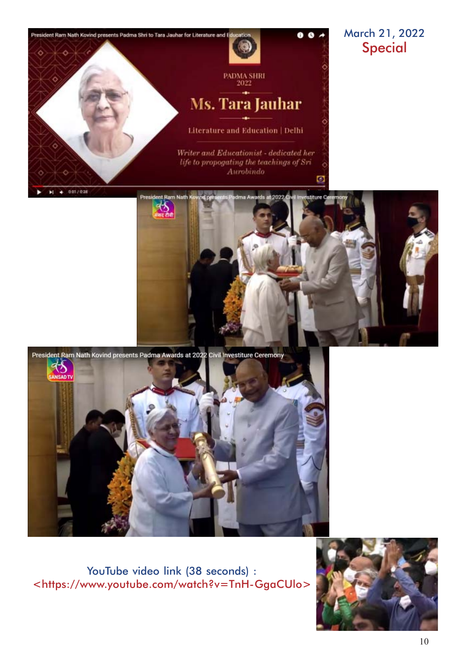

 $001/02$ 



President Ram Nath Kovind presents Padma Awards at 2022 Civil Investiture Ceremony



YouTube video link (38 seconds) : <https://www.youtube.com/watch?v=TnH-GgaCUlo>

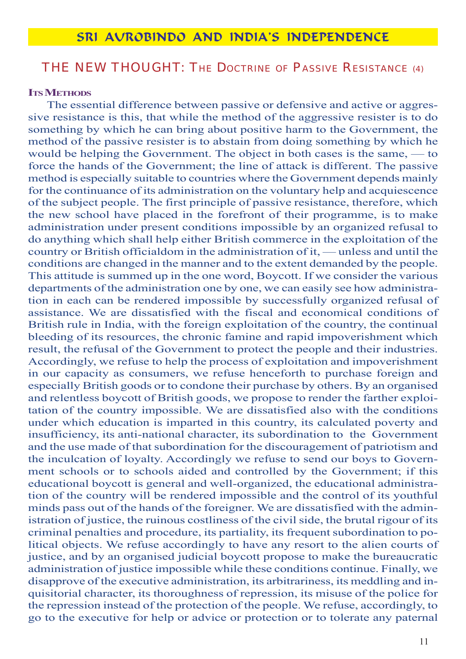### SRI AUROBINDO AND INDIA'S INDEPENDENCE

### THE NEW THOUGHT: THE DOCTRINE OF PASSIVE RESISTANCE (4)

#### **ITS METHODS**

The essential difference between passive or defensive and active or aggressive resistance is this, that while the method of the aggressive resister is to do something by which he can bring about positive harm to the Government, the method of the passive resister is to abstain from doing something by which he would be helping the Government. The object in both cases is the same, — to force the hands of the Government; the line of attack is different. The passive method is especially suitable to countries where the Government depends mainly for the continuance of its administration on the voluntary help and acquiescence of the subject people. The first principle of passive resistance, therefore, which the new school have placed in the forefront of their programme, is to make administration under present conditions impossible by an organized refusal to do anything which shall help either British commerce in the exploitation of the country or British officialdom in the administration of it, — unless and until the conditions are changed in the manner and to the extent demanded by the people. This attitude is summed up in the one word, Boycott. If we consider the various departments of the administration one by one, we can easily see how administration in each can be rendered impossible by successfully organized refusal of assistance. We are dissatisfied with the fiscal and economical conditions of British rule in India, with the foreign exploitation of the country, the continual bleeding of its resources, the chronic famine and rapid impoverishment which result, the refusal of the Government to protect the people and their industries. Accordingly, we refuse to help the process of exploitation and impoverishment in our capacity as consumers, we refuse henceforth to purchase foreign and especially British goods or to condone their purchase by others. By an organised and relentless boycott of British goods, we propose to render the farther exploitation of the country impossible. We are dissatisfied also with the conditions under which education is imparted in this country, its calculated poverty and insufficiency, its anti-national character, its subordination to the Government and the use made of that subordination for the discouragement of patriotism and the inculcation of loyalty. Accordingly we refuse to send our boys to Government schools or to schools aided and controlled by the Government; if this educational boycott is general and well-organized, the educational administration of the country will be rendered impossible and the control of its youthful minds pass out of the hands of the foreigner. We are dissatisfied with the administration of justice, the ruinous costliness of the civil side, the brutal rigour of its criminal penalties and procedure, its partiality, its frequent subordination to political objects. We refuse accordingly to have any resort to the alien courts of justice, and by an organised judicial boycott propose to make the bureaucratic administration of justice impossible while these conditions continue. Finally, we disapprove of the executive administration, its arbitrariness, its meddling and inquisitorial character, its thoroughness of repression, its misuse of the police for the repression instead of the protection of the people. We refuse, accordingly, to go to the executive for help or advice or protection or to tolerate any paternal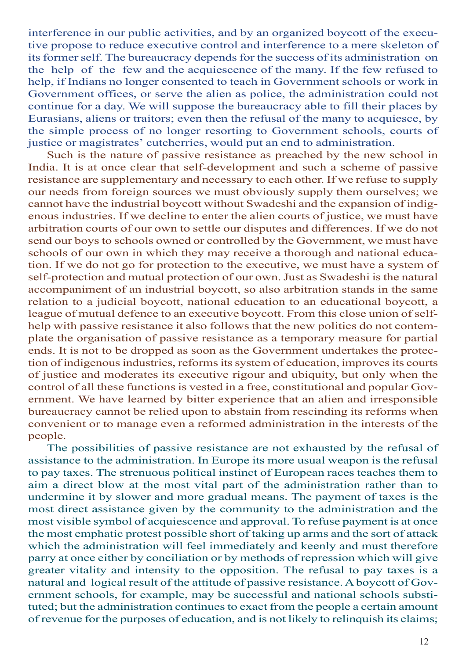interference in our public activities, and by an organized boycott of the executive propose to reduce executive control and interference to a mere skeleton of its former self. The bureaucracy depends for the success of its administration on the help of the few and the acquiescence of the many. If the few refused to help, if Indians no longer consented to teach in Government schools or work in Government offices, or serve the alien as police, the administration could not continue for a day. We will suppose the bureaucracy able to fill their places by Eurasians, aliens or traitors; even then the refusal of the many to acquiesce, by the simple process of no longer resorting to Government schools, courts of justice or magistrates' cutcherries, would put an end to administration.

Such is the nature of passive resistance as preached by the new school in India. It is at once clear that self-development and such a scheme of passive resistance are supplementary and necessary to each other. If we refuse to supply our needs from foreign sources we must obviously supply them ourselves; we cannot have the industrial boycott without Swadeshi and the expansion of indigenous industries. If we decline to enter the alien courts of justice, we must have arbitration courts of our own to settle our disputes and differences. If we do not send our boys to schools owned or controlled by the Government, we must have schools of our own in which they may receive a thorough and national education. If we do not go for protection to the executive, we must have a system of self-protection and mutual protection of our own. Just as Swadeshi is the natural accompaniment of an industrial boycott, so also arbitration stands in the same relation to a judicial boycott, national education to an educational boycott, a league of mutual defence to an executive boycott. From this close union of selfhelp with passive resistance it also follows that the new politics do not contemplate the organisation of passive resistance as a temporary measure for partial ends. It is not to be dropped as soon as the Government undertakes the protection of indigenous industries, reforms its system of education, improves its courts of justice and moderates its executive rigour and ubiquity, but only when the control of all these functions is vested in a free, constitutional and popular Government. We have learned by bitter experience that an alien and irresponsible bureaucracy cannot be relied upon to abstain from rescinding its reforms when convenient or to manage even a reformed administration in the interests of the people.

The possibilities of passive resistance are not exhausted by the refusal of assistance to the administration. In Europe its more usual weapon is the refusal to pay taxes. The strenuous political instinct of European races teaches them to aim a direct blow at the most vital part of the administration rather than to undermine it by slower and more gradual means. The payment of taxes is the most direct assistance given by the community to the administration and the most visible symbol of acquiescence and approval. To refuse payment is at once the most emphatic protest possible short of taking up arms and the sort of attack which the administration will feel immediately and keenly and must therefore parry at once either by conciliation or by methods of repression which will give greater vitality and intensity to the opposition. The refusal to pay taxes is a natural and logical result of the attitude of passive resistance. A boycott of Government schools, for example, may be successful and national schools substituted; but the administration continues to exact from the people a certain amount of revenue for the purposes of education, and is not likely to relinquish its claims;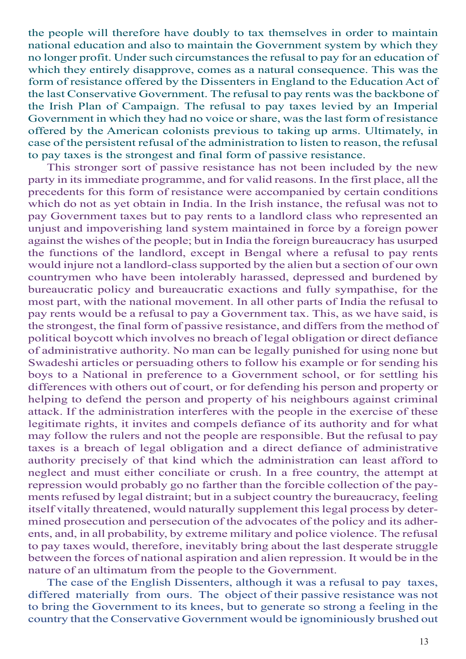the people will therefore have doubly to tax themselves in order to maintain national education and also to maintain the Government system by which they no longer profit. Under such circumstances the refusal to pay for an education of which they entirely disapprove, comes as a natural consequence. This was the form of resistance offered by the Dissenters in England to the Education Act of the last Conservative Government. The refusal to pay rents was the backbone of the Irish Plan of Campaign. The refusal to pay taxes levied by an Imperial Government in which they had no voice or share, was the last form of resistance offered by the American colonists previous to taking up arms. Ultimately, in case of the persistent refusal of the administration to listen to reason, the refusal to pay taxes is the strongest and final form of passive resistance.

This stronger sort of passive resistance has not been included by the new party in its immediate programme, and for valid reasons. In the first place, all the precedents for this form of resistance were accompanied by certain conditions which do not as yet obtain in India. In the Irish instance, the refusal was not to pay Government taxes but to pay rents to a landlord class who represented an unjust and impoverishing land system maintained in force by a foreign power against the wishes of the people; but in India the foreign bureaucracy has usurped the functions of the landlord, except in Bengal where a refusal to pay rents would injure not a landlord-class supported by the alien but a section of our own countrymen who have been intolerably harassed, depressed and burdened by bureaucratic policy and bureaucratic exactions and fully sympathise, for the most part, with the national movement. In all other parts of India the refusal to pay rents would be a refusal to pay a Government tax. This, as we have said, is the strongest, the final form of passive resistance, and differs from the method of political boycott which involves no breach of legal obligation or direct defiance of administrative authority. No man can be legally punished for using none but Swadeshi articles or persuading others to follow his example or for sending his boys to a National in preference to a Government school, or for settling his differences with others out of court, or for defending his person and property or helping to defend the person and property of his neighbours against criminal attack. If the administration interferes with the people in the exercise of these legitimate rights, it invites and compels defiance of its authority and for what may follow the rulers and not the people are responsible. But the refusal to pay taxes is a breach of legal obligation and a direct defiance of administrative authority precisely of that kind which the administration can least afford to neglect and must either conciliate or crush. In a free country, the attempt at repression would probably go no farther than the forcible collection of the payments refused by legal distraint; but in a subject country the bureaucracy, feeling itself vitally threatened, would naturally supplement this legal process by determined prosecution and persecution of the advocates of the policy and its adherents, and, in all probability, by extreme military and police violence. The refusal to pay taxes would, therefore, inevitably bring about the last desperate struggle between the forces of national aspiration and alien repression. It would be in the nature of an ultimatum from the people to the Government.

The case of the English Dissenters, although it was a refusal to pay taxes, differed materially from ours. The object of their passive resistance was not to bring the Government to its knees, but to generate so strong a feeling in the country that the Conservative Government would be ignominiously brushed out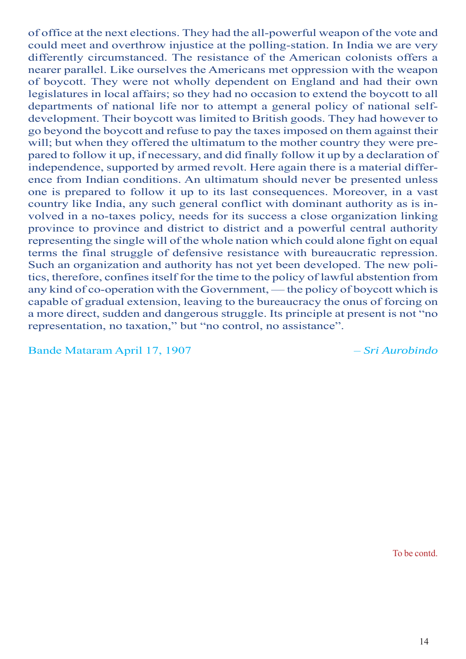of office at the next elections. They had the all-powerful weapon of the vote and could meet and overthrow injustice at the polling-station. In India we are very differently circumstanced. The resistance of the American colonists offers a nearer parallel. Like ourselves the Americans met oppression with the weapon of boycott. They were not wholly dependent on England and had their own legislatures in local affairs; so they had no occasion to extend the boycott to all departments of national life nor to attempt a general policy of national selfdevelopment. Their boycott was limited to British goods. They had however to go beyond the boycott and refuse to pay the taxes imposed on them against their will; but when they offered the ultimatum to the mother country they were prepared to follow it up, if necessary, and did finally follow it up by a declaration of independence, supported by armed revolt. Here again there is a material difference from Indian conditions. An ultimatum should never be presented unless one is prepared to follow it up to its last consequences. Moreover, in a vast country like India, any such general conflict with dominant authority as is involved in a no-taxes policy, needs for its success a close organization linking province to province and district to district and a powerful central authority representing the single will of the whole nation which could alone fight on equal terms the final struggle of defensive resistance with bureaucratic repression. Such an organization and authority has not yet been developed. The new politics, therefore, confines itself for the time to the policy of lawful abstention from any kind of co-operation with the Government, — the policy of boycott which is capable of gradual extension, leaving to the bureaucracy the onus of forcing on a more direct, sudden and dangerous struggle. Its principle at present is not "no representation, no taxation," but "no control, no assistance".

Bande Mataram April 17, 1907 – *Sri Aurobindo*

To be contd.